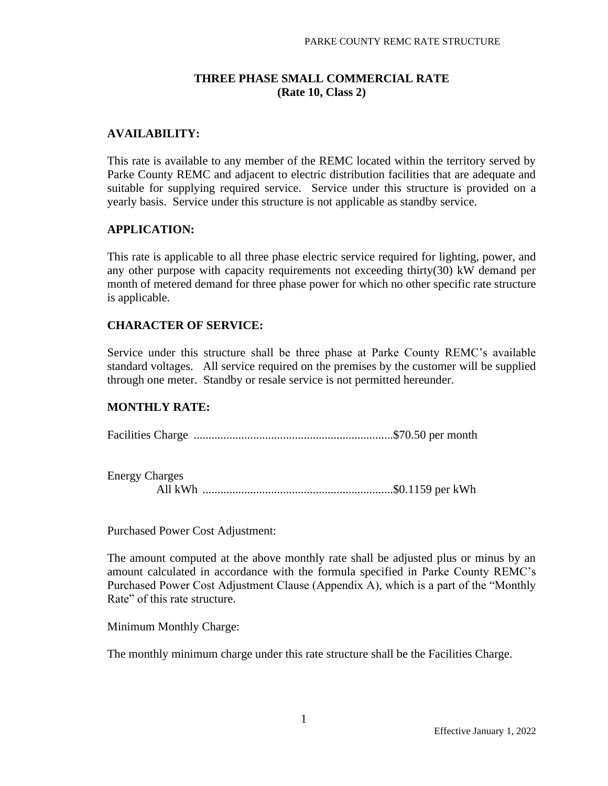## **THREE PHASE SMALL COMMERCIAL RATE (Rate 10, Class 2)**

## **AVAILABILITY:**

This rate is available to any member of the REMC located within the territory served by Parke County REMC and adjacent to electric distribution facilities that are adequate and suitable for supplying required service. Service under this structure is provided on a yearly basis. Service under this structure is not applicable as standby service.

#### **APPLICATION:**

This rate is applicable to all three phase electric service required for lighting, power, and any other purpose with capacity requirements not exceeding thirty(30) kW demand per month of metered demand for three phase power for which no other specific rate structure is applicable.

#### **CHARACTER OF SERVICE:**

Service under this structure shall be three phase at Parke County REMC's available standard voltages. All service required on the premises by the customer will be supplied through one meter. Standby or resale service is not permitted hereunder.

### **MONTHLY RATE:**

Facilities Charge ...................................................................\$70.50 per month

| <b>Energy Charges</b> |  |
|-----------------------|--|
| All kWh               |  |

Purchased Power Cost Adjustment:

The amount computed at the above monthly rate shall be adjusted plus or minus by an amount calculated in accordance with the formula specified in Parke County REMC's Purchased Power Cost Adjustment Clause (Appendix A), which is a part of the "Monthly Rate" of this rate structure.

Minimum Monthly Charge:

The monthly minimum charge under this rate structure shall be the Facilities Charge.